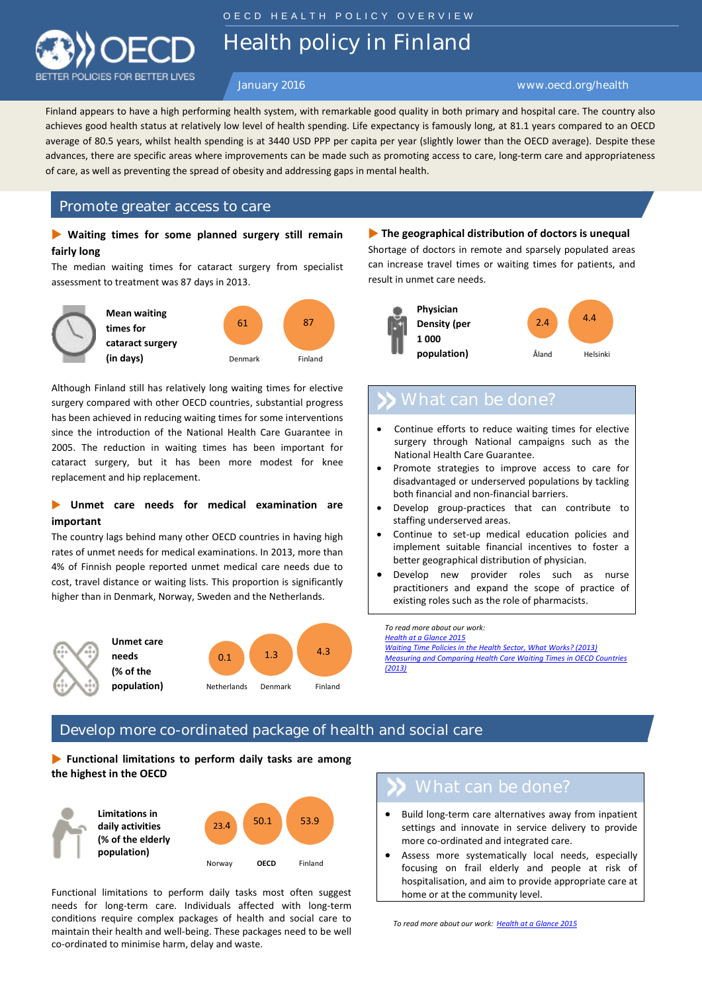

O E C D H E A L T H P O L I C Y O V E R V I E W

Health policy in Finland

### January 2016 www.oecd.org/health

achieves good health status at relatively low level of health spending. Life expectancy is famously long, at 81.1 years compared to an OECD Finland appears to have a high performing health system, with remarkable good quality in both primary and hospital care. The country also average of 80.5 years, whilst health spending is at 3440 USD PPP per capita per year (slightly lower than the OECD average). Despite these advances, there are specific areas where improvements can be made such as promoting access to care, long-term care and appropriateness of care, as well as preventing the spread of obesity and addressing gaps in mental health.

## Promote greater access to care

## **Waiting times for some planned surgery still remain fairly long**

The median waiting times for cataract surgery from specialist assessment to treatment was 87 days in 2013.



Although Finland still has relatively long waiting times for elective surgery compared with other OECD countries, substantial progress has been achieved in reducing waiting times for some interventions since the introduction of the National Health Care Guarantee in 2005. The reduction in waiting times has been important for cataract surgery, but it has been more modest for knee replacement and hip replacement.

## **Unmet care needs for medical examination are important**

The country lags behind many other OECD countries in having high rates of unmet needs for medical examinations. In 2013, more than 4% of Finnish people reported unmet medical care needs due to cost, travel distance or waiting lists. This proportion is significantly higher than in Denmark, Norway, Sweden and the Netherlands.



**The geographical distribution of doctors is unequal** Shortage of doctors in remote and sparsely populated areas can increase travel times or waiting times for patients, and result in unmet care needs.



- Continue efforts to reduce waiting times for elective surgery through National campaigns such as the National Health Care Guarantee.
- Promote strategies to improve access to care for disadvantaged or underserved populations by tackling both financial and non-financial barriers.
- Develop group-practices that can contribute to staffing underserved areas.
- Continue to set-up medical education policies and implement suitable financial incentives to foster a better geographical distribution of physician.
- Develop new provider roles such as nurse practitioners and expand the scope of practice of existing roles such as the role of pharmacists.

*To read more about our work: Health at a [Glance 2015](http://www.oecd.org/health/health-at-a-glance.htm) [Waiting Time Policies in the Health Sector, What Works? \(2013\)](http://www.oecd.org/health/waiting-times-for-elective-surgery-what-works-9789264179080-en.htm) [Measuring and Comparing Health Care Waiting Times in OECD Countries](http://dx.doi.org/10.1787/5k3w9t84b2kf-en)  [\(2013\)](http://dx.doi.org/10.1787/5k3w9t84b2kf-en)*

## Develop more co-ordinated package of health and social care

 **Functional limitations to perform daily tasks are among the highest in the OECD**



Functional limitations to perform daily tasks most often suggest needs for long-term care. Individuals affected with long-term conditions require complex packages of health and social care to maintain their health and well-being. These packages need to be well co-ordinated to minimise harm, delay and waste.

- Build long-term care alternatives away from inpatient settings and innovate in service delivery to provide more co-ordinated and integrated care.
- Assess more systematically local needs, especially focusing on frail elderly and people at risk of hospitalisation, and aim to provide appropriate care at home or at the community level.

*To read more about our work: Health at a [Glance](http://www.oecd.org/health/health-at-a-glance.htm) 2015*